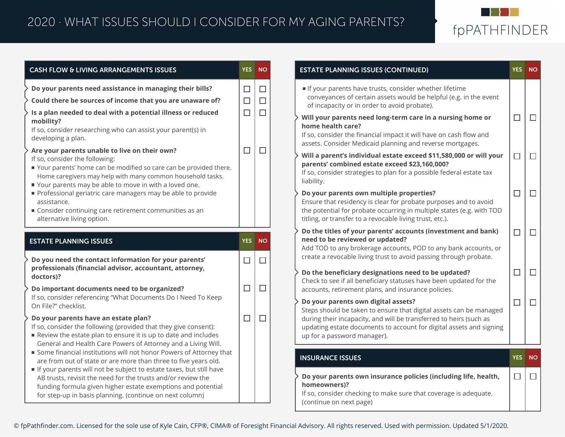

|                                                                                                                                                                                                                                                                                                                                                                                                                                                                                                                                                                                                                                        | <b>YES</b>                           | <b>NO</b>                            | <b>ESTATE PLANNI</b>                                                                                                                                                                                                            |
|----------------------------------------------------------------------------------------------------------------------------------------------------------------------------------------------------------------------------------------------------------------------------------------------------------------------------------------------------------------------------------------------------------------------------------------------------------------------------------------------------------------------------------------------------------------------------------------------------------------------------------------|--------------------------------------|--------------------------------------|---------------------------------------------------------------------------------------------------------------------------------------------------------------------------------------------------------------------------------|
| Do your parents need assistance in managing their bills?<br>Could there be sources of income that you are unaware of?<br>Is a plan needed to deal with a potential illness or reduced<br>mobility?<br>If so, consider researching who can assist your parent(s) in<br>developing a plan.<br>Are your parents unable to live on their own?<br>If so, consider the following:<br>Your parents' home can be modified so care can be provided there.<br>Home caregivers may help with many common household tasks.<br>Your parents may be able to move in with a loved one.<br>Professional geriatric care managers may be able to provide | $\Box$<br>$\Box$<br>$\Box$<br>$\Box$ | $\Box$<br>$\Box$<br>$\Box$<br>$\Box$ | If your parents<br>conveyances o<br>of incapacity o<br>Will your paren<br>home health ca<br>If so, consider th<br>assets. Consider<br>Will a parent's i<br>parents' combi<br>If so, consider st<br>liability.<br>Do your parent |
| assistance.<br>Consider continuing care retirement communities as an<br>alternative living option.                                                                                                                                                                                                                                                                                                                                                                                                                                                                                                                                     |                                      |                                      | Ensure that resid<br>the potential for<br>titling, or transfe                                                                                                                                                                   |
| <b>ESTATE PLANNING ISSUES</b>                                                                                                                                                                                                                                                                                                                                                                                                                                                                                                                                                                                                          | <b>YES</b>                           | <b>NO</b>                            | Do the titles of<br>need to be revi<br>Add TOD to any                                                                                                                                                                           |
| Do you need the contact information for your parents'                                                                                                                                                                                                                                                                                                                                                                                                                                                                                                                                                                                  | П                                    | $\Box$                               | create a revocab                                                                                                                                                                                                                |
| professionals (financial advisor, accountant, attorney,                                                                                                                                                                                                                                                                                                                                                                                                                                                                                                                                                                                |                                      |                                      |                                                                                                                                                                                                                                 |
| doctors)?<br>Do important documents need to be organized?<br>If so, consider referencing "What Documents Do I Need To Keep                                                                                                                                                                                                                                                                                                                                                                                                                                                                                                             | $\Box$                               | $\Box$                               | Do the benefici<br>Check to see if a<br>accounts, retirer                                                                                                                                                                       |

| <b>ESTATE PLANNING ISSUES (CONTINUED)</b>                                                                                                                                                                                                                                             | <b>YES</b> | <b>NO</b> |
|---------------------------------------------------------------------------------------------------------------------------------------------------------------------------------------------------------------------------------------------------------------------------------------|------------|-----------|
| If your parents have trusts, consider whether lifetime<br>conveyances of certain assets would be helpful (e.g. in the event<br>of incapacity or in order to avoid probate).                                                                                                           |            |           |
| Will your parents need long-term care in a nursing home or<br>f<br>home health care?<br>If so, consider the financial impact it will have on cash flow and<br>assets. Consider Medicaid planning and reverse mortgages.                                                               | - 1        |           |
| Will a parent's individual estate exceed \$11,580,000 or will your<br>parents' combined estate exceed \$23,160,000?<br>If so, consider strategies to plan for a possible federal estate tax<br>liability.                                                                             |            |           |
| Do your parents own multiple properties?<br>Ensure that residency is clear for probate purposes and to avoid<br>the potential for probate occurring in multiple states (e.g. with TOD<br>titling, or transfer to a revocable living trust, etc.).                                     |            |           |
| Do the titles of your parents' accounts (investment and bank)<br>need to be reviewed or updated?<br>Add TOD to any brokerage accounts, POD to any bank accounts, or<br>create a revocable living trust to avoid passing through probate.                                              |            |           |
| Do the beneficiary designations need to be updated?<br>Check to see if all beneficiary statuses have been updated for the<br>accounts, retirement plans, and insurance policies.                                                                                                      | - 1        |           |
| Do your parents own digital assets?<br>Steps should be taken to ensure that digital assets can be managed<br>during their incapacity, and will be transferred to heirs (such as<br>updating estate documents to account for digital assets and signing<br>up for a password manager). | H          |           |
| <b>INSURANCE ISSUES</b>                                                                                                                                                                                                                                                               | <b>YES</b> | <b>NO</b> |
| $\cdot$ Do your parents own insurance policies (including life, health,                                                                                                                                                                                                               |            |           |

hecking to make sure that coverage is adequate. (continue on next page)